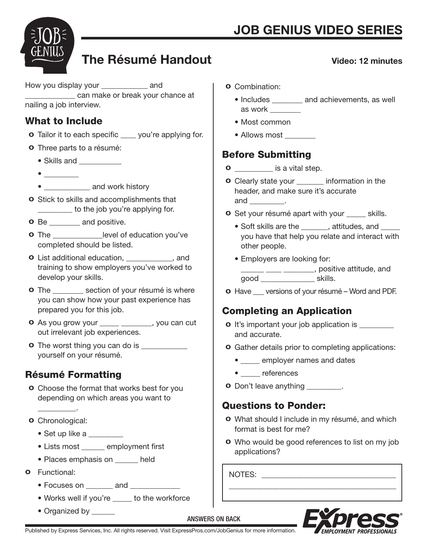Video: 12 minutes



# The Résumé Handout

How you display your \_\_\_\_\_\_\_\_\_\_\_\_\_ and \_\_\_\_\_\_\_\_\_\_\_\_\_ can make or break your chance at nailing a job interview.

#### What to Include

- **o** Tailor it to each specific \_\_\_\_\_ you're applying for.
- o Three parts to a résumé:
	- Skills and \_\_\_\_\_\_\_\_\_\_
	- \_\_\_\_\_\_\_\_\_
	- **and work history**
- o Stick to skills and accomplishments that **with the job you're applying for.**
- **o** Be \_\_\_\_\_\_\_\_ and positive.
- o The \_\_\_\_\_\_\_\_\_\_\_\_\_level of education you've completed should be listed.
- o List additional education, \_\_\_\_\_\_\_\_\_\_\_\_, and training to show employers you've worked to develop your skills.
- **o** The section of your résumé is where you can show how your past experience has prepared you for this job.
- **o** As you grow your \_\_\_\_\_ \_\_\_\_\_\_, you can cut out irrelevant job experiences.
- **o** The worst thing you can do is \_\_\_\_\_\_\_\_\_\_\_\_ yourself on your résumé.

# Résumé Formatting

- o Choose the format that works best for you depending on which areas you want to
- o Chronological:

 $\frac{1}{2}$  and  $\frac{1}{2}$  and  $\frac{1}{2}$ 

- Set up like a \_\_\_\_\_\_\_\_
- Lists most employment first
- Places emphasis on \_\_\_\_\_\_ held
- o Functional:
	- Focuses on **and and**
	- Works well if you're \_\_\_\_\_ to the workforce
	- Organized by
- o Combination:
	- Includes \_\_\_\_\_\_\_\_ and achievements, as well as work \_\_\_\_\_\_\_\_
	- Most common
	- Allows most

### Before Submitting

- **o** is a vital step.
- o Clearly state your \_\_\_\_\_\_\_ information in the header, and make sure it's accurate and \_\_\_\_\_\_\_\_\_.
- **o** Set your résumé apart with your skills.
	- Soft skills are the \_\_\_\_\_\_, attitudes, and \_\_\_ you have that help you relate and interact with other people.
	- Employers are looking for: \_\_\_\_\_\_\_ \_\_\_\_ \_\_\_\_\_\_\_\_, positive attitude, and good \_\_\_\_\_\_\_\_\_\_\_\_\_\_ skills.
- **o** Have versions of your résumé Word and PDF.

# Completing an Application

- **o** It's important your job application is \_\_\_\_\_\_\_\_ and accurate.
- o Gather details prior to completing applications:
	- employer names and dates
	- **eferences**
- **o** Don't leave anything  $\blacksquare$

#### Questions to Ponder:

- o What should I include in my résumé, and which format is best for me?
- o Who would be good references to list on my job applications?

\_\_\_\_\_\_\_\_\_\_\_\_\_\_\_\_\_\_\_\_\_\_\_\_\_\_\_\_\_\_\_\_\_\_\_\_\_\_\_\_\_\_\_

NOTES: \_\_\_\_\_\_\_\_\_\_\_\_\_\_\_\_\_\_\_\_\_\_\_\_\_\_\_\_\_\_\_\_\_\_\_



ANSWERS ON BACK